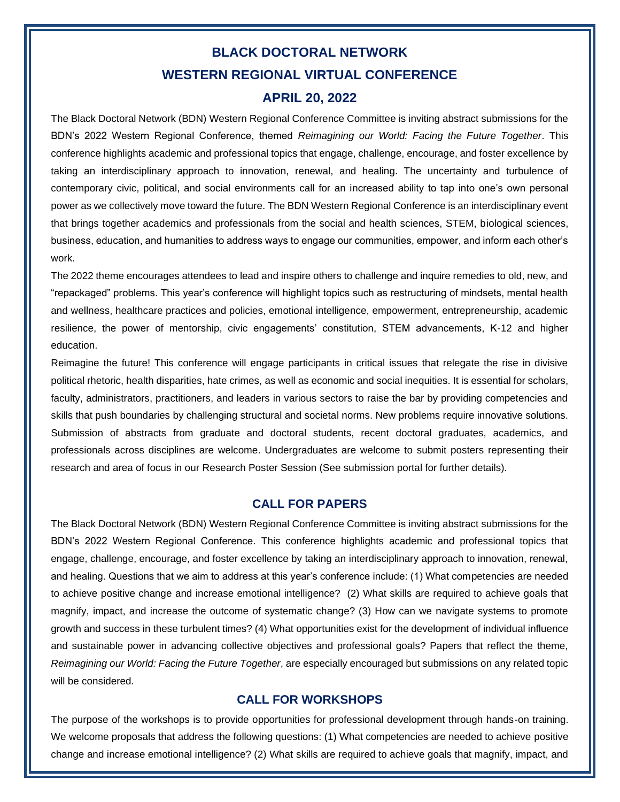# **BLACK DOCTORAL NETWORK WESTERN REGIONAL VIRTUAL CONFERENCE**

### **APRIL 20, 2022**

The Black Doctoral Network (BDN) Western Regional Conference Committee is inviting abstract submissions for the BDN's 2022 Western Regional Conference, themed *Reimagining our World: Facing the Future Together*. This conference highlights academic and professional topics that engage, challenge, encourage, and foster excellence by taking an interdisciplinary approach to innovation, renewal, and healing. The uncertainty and turbulence of contemporary civic, political, and social environments call for an increased ability to tap into one's own personal power as we collectively move toward the future. The BDN Western Regional Conference is an interdisciplinary event that brings together academics and professionals from the social and health sciences, STEM, biological sciences, business, education, and humanities to address ways to engage our communities, empower, and inform each other's work.

The 2022 theme encourages attendees to lead and inspire others to challenge and inquire remedies to old, new, and "repackaged" problems. This year's conference will highlight topics such as restructuring of mindsets, mental health and wellness, healthcare practices and policies, emotional intelligence, empowerment, entrepreneurship, academic resilience, the power of mentorship, civic engagements' constitution, STEM advancements, K-12 and higher education.

Reimagine the future! This conference will engage participants in critical issues that relegate the rise in divisive political rhetoric, health disparities, hate crimes, as well as economic and social inequities. It is essential for scholars, faculty, administrators, practitioners, and leaders in various sectors to raise the bar by providing competencies and skills that push boundaries by challenging structural and societal norms. New problems require innovative solutions. Submission of abstracts from graduate and doctoral students, recent doctoral graduates, academics, and professionals across disciplines are welcome. Undergraduates are welcome to submit posters representing their research and area of focus in our Research Poster Session (See submission portal for further details).

#### **CALL FOR PAPERS**

The Black Doctoral Network (BDN) Western Regional Conference Committee is inviting abstract submissions for the BDN's 2022 Western Regional Conference. This conference highlights academic and professional topics that engage, challenge, encourage, and foster excellence by taking an interdisciplinary approach to innovation, renewal, and healing. Questions that we aim to address at this year's conference include: (1) What competencies are needed to achieve positive change and increase emotional intelligence? (2) What skills are required to achieve goals that magnify, impact, and increase the outcome of systematic change? (3) How can we navigate systems to promote growth and success in these turbulent times? (4) What opportunities exist for the development of individual influence and sustainable power in advancing collective objectives and professional goals? Papers that reflect the theme, *Reimagining our World: Facing the Future Together*, are especially encouraged but submissions on any related topic will be considered.

#### **CALL FOR WORKSHOPS**

The purpose of the workshops is to provide opportunities for professional development through hands-on training. We welcome proposals that address the following questions: (1) What competencies are needed to achieve positive change and increase emotional intelligence? (2) What skills are required to achieve goals that magnify, impact, and